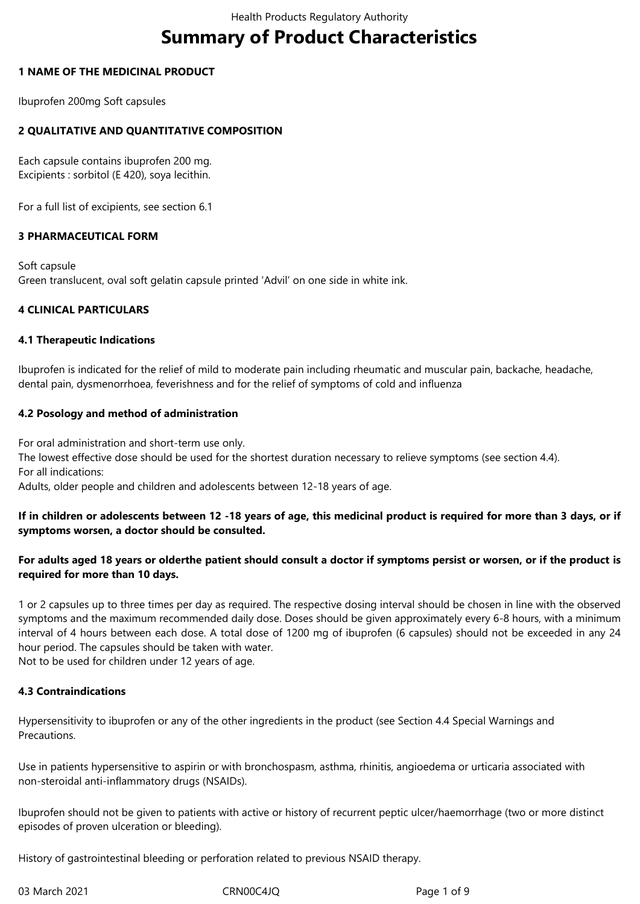# **Summary of Product Characteristics**

#### **1 NAME OF THE MEDICINAL PRODUCT**

Ibuprofen 200mg Soft capsules

## **2 QUALITATIVE AND QUANTITATIVE COMPOSITION**

Each capsule contains ibuprofen 200 mg. Excipients : sorbitol (E 420), soya lecithin.

For a full list of excipients, see section 6.1

### **3 PHARMACEUTICAL FORM**

Soft capsule Green translucent, oval soft gelatin capsule printed 'Advil' on one side in white ink.

### **4 CLINICAL PARTICULARS**

#### **4.1 Therapeutic Indications**

Ibuprofen is indicated for the relief of mild to moderate pain including rheumatic and muscular pain, backache, headache, dental pain, dysmenorrhoea, feverishness and for the relief of symptoms of cold and influenza

### **4.2 Posology and method of administration**

For oral administration and short-term use only.

The lowest effective dose should be used for the shortest duration necessary to relieve symptoms (see section 4.4). For all indications:

Adults, older people and children and adolescents between 12-18 years of age.

### If in children or adolescents between 12 -18 years of age, this medicinal product is required for more than 3 days, or if **symptoms worsen, a doctor should be consulted.**

### For adults aged 18 years or olderthe patient should consult a doctor if symptoms persist or worsen, or if the product is **required for more than 10 days.**

1 or 2 capsules up to three times per day as required. The respective dosing interval should be chosen in line with the observed symptoms and the maximum recommended daily dose. Doses should be given approximately every 6-8 hours, with a minimum interval of 4 hours between each dose. A total dose of 1200 mg of ibuprofen (6 capsules) should not be exceeded in any 24 hour period. The capsules should be taken with water.

Not to be used for children under 12 years of age.

#### **4.3 Contraindications**

Hypersensitivity to ibuprofen or any of the other ingredients in the product (see Section 4.4 Special Warnings and Precautions.

Use in patients hypersensitive to aspirin or with bronchospasm, asthma, rhinitis, angioedema or urticaria associated with non-steroidal anti-inflammatory drugs (NSAIDs).

Ibuprofen should not be given to patients with active or history of recurrent peptic ulcer/haemorrhage (two or more distinct episodes of proven ulceration or bleeding).

History of gastrointestinal bleeding or perforation related to previous NSAID therapy.

03 March 2021 CRN00C4JQ Page 1 of 9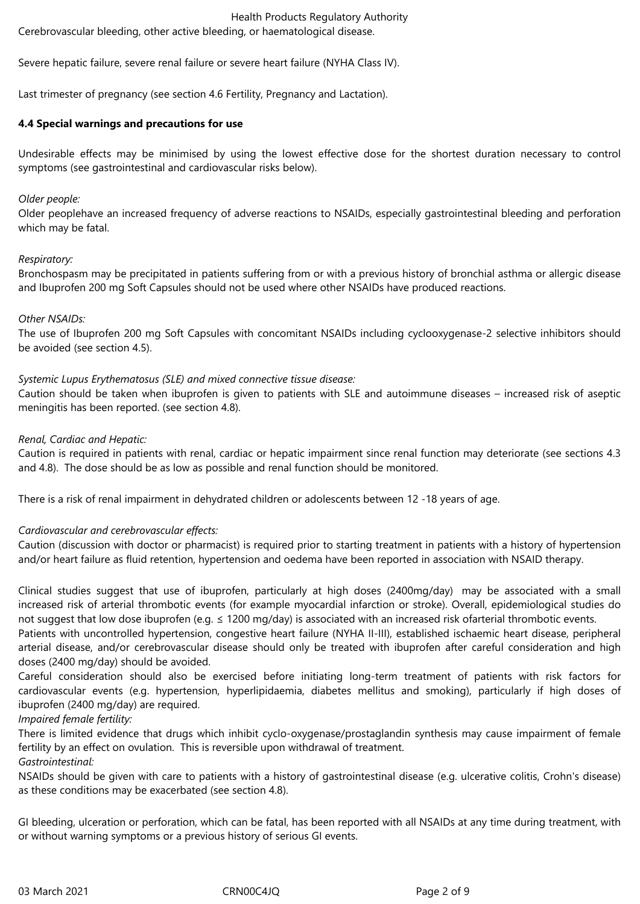Cerebrovascular bleeding, other active bleeding, or haematological disease.

Severe hepatic failure, severe renal failure or severe heart failure (NYHA Class IV).

Last trimester of pregnancy (see section 4.6 Fertility, Pregnancy and Lactation).

### **4.4 Special warnings and precautions for use**

Undesirable effects may be minimised by using the lowest effective dose for the shortest duration necessary to control symptoms (see gastrointestinal and cardiovascular risks below).

#### *Older people:*

Older peoplehave an increased frequency of adverse reactions to NSAIDs, especially gastrointestinal bleeding and perforation which may be fatal.

#### *Respiratory:*

Bronchospasm may be precipitated in patients suffering from or with a previous history of bronchial asthma or allergic disease and Ibuprofen 200 mg Soft Capsules should not be used where other NSAIDs have produced reactions.

### *Other NSAIDs:*

The use of Ibuprofen 200 mg Soft Capsules with concomitant NSAIDs including cyclooxygenase-2 selective inhibitors should be avoided (see section 4.5).

### *Systemic Lupus Erythematosus (SLE) and mixed connective tissue disease:*

Caution should be taken when ibuprofen is given to patients with SLE and autoimmune diseases – increased risk of aseptic meningitis has been reported. (see section 4.8).

### *Renal, Cardiac and Hepatic:*

Caution is required in patients with renal, cardiac or hepatic impairment since renal function may deteriorate (see sections 4.3 and 4.8). The dose should be as low as possible and renal function should be monitored.

There is a risk of renal impairment in dehydrated children or adolescents between 12 -18 years of age.

## *Cardiovascular and cerebrovascular effects:*

Caution (discussion with doctor or pharmacist) is required prior to starting treatment in patients with a history of hypertension and/or heart failure as fluid retention, hypertension and oedema have been reported in association with NSAID therapy.

Clinical studies suggest that use of ibuprofen, particularly at high doses (2400mg/day) may be associated with a small increased risk of arterial thrombotic events (for example myocardial infarction or stroke). Overall, epidemiological studies do not suggest that low dose ibuprofen (e.g. ≤ 1200 mg/day) is associated with an increased risk ofarterial thrombotic events.

Patients with uncontrolled hypertension, congestive heart failure (NYHA II-III), established ischaemic heart disease, peripheral arterial disease, and/or cerebrovascular disease should only be treated with ibuprofen after careful consideration and high doses (2400 mg/day) should be avoided.

Careful consideration should also be exercised before initiating long-term treatment of patients with risk factors for cardiovascular events (e.g. hypertension, hyperlipidaemia, diabetes mellitus and smoking), particularly if high doses of ibuprofen (2400 mg/day) are required.

#### *Impaired female fertility:*

There is limited evidence that drugs which inhibit cyclo-oxygenase/prostaglandin synthesis may cause impairment of female fertility by an effect on ovulation. This is reversible upon withdrawal of treatment.

## *Gastrointestinal:*

NSAIDs should be given with care to patients with a history of gastrointestinal disease (e.g. ulcerative colitis, Crohn's disease) as these conditions may be exacerbated (see section 4.8).

GI bleeding, ulceration or perforation, which can be fatal, has been reported with all NSAIDs at any time during treatment, with or without warning symptoms or a previous history of serious GI events.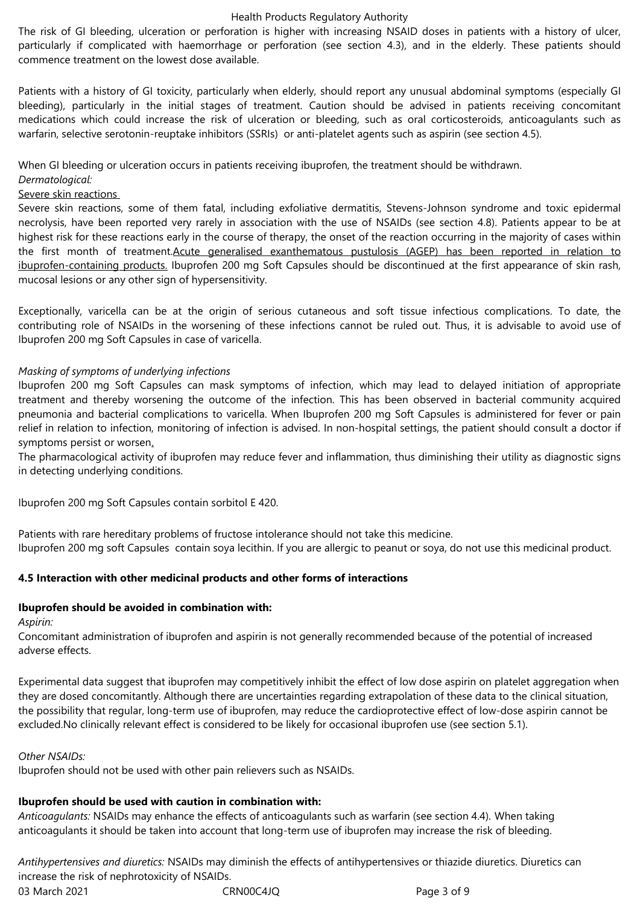The risk of GI bleeding, ulceration or perforation is higher with increasing NSAID doses in patients with a history of ulcer, particularly if complicated with haemorrhage or perforation (see section 4.3), and in the elderly. These patients should commence treatment on the lowest dose available.

Patients with a history of GI toxicity, particularly when elderly, should report any unusual abdominal symptoms (especially GI bleeding), particularly in the initial stages of treatment. Caution should be advised in patients receiving concomitant medications which could increase the risk of ulceration or bleeding, such as oral corticosteroids, anticoagulants such as warfarin, selective serotonin-reuptake inhibitors (SSRIs) or anti-platelet agents such as aspirin (see section 4.5).

When GI bleeding or ulceration occurs in patients receiving ibuprofen, the treatment should be withdrawn.

#### *Dermatological:*

#### Severe skin reactions

Severe skin reactions, some of them fatal, including exfoliative dermatitis, Stevens-Johnson syndrome and toxic epidermal necrolysis, have been reported very rarely in association with the use of NSAIDs (see section 4.8). Patients appear to be at highest risk for these reactions early in the course of therapy, the onset of the reaction occurring in the majority of cases within the first month of treatment.Acute generalised exanthematous pustulosis (AGEP) has been reported in relation to ibuprofen-containing products. Ibuprofen 200 mg Soft Capsules should be discontinued at the first appearance of skin rash, mucosal lesions or any other sign of hypersensitivity.

Exceptionally, varicella can be at the origin of serious cutaneous and soft tissue infectious complications. To date, the contributing role of NSAIDs in the worsening of these infections cannot be ruled out. Thus, it is advisable to avoid use of Ibuprofen 200 mg Soft Capsules in case of varicella.

### *Masking of symptoms of underlying infections*

Ibuprofen 200 mg Soft Capsules can mask symptoms of infection, which may lead to delayed initiation of appropriate treatment and thereby worsening the outcome of the infection. This has been observed in bacterial community acquired pneumonia and bacterial complications to varicella. When Ibuprofen 200 mg Soft Capsules is administered for fever or pain relief in relation to infection, monitoring of infection is advised. In non-hospital settings, the patient should consult a doctor if symptoms persist or worsen.

The pharmacological activity of ibuprofen may reduce fever and inflammation, thus diminishing their utility as diagnostic signs in detecting underlying conditions.

Ibuprofen 200 mg Soft Capsules contain sorbitol E 420.

Patients with rare hereditary problems of fructose intolerance should not take this medicine. Ibuprofen 200 mg soft Capsules contain soya lecithin. If you are allergic to peanut or soya, do not use this medicinal product.

## **4.5 Interaction with other medicinal products and other forms of interactions**

# **Ibuprofen should be avoided in combination with:**

*Aspirin:*

Concomitant administration of ibuprofen and aspirin is not generally recommended because of the potential of increased adverse effects.

Experimental data suggest that ibuprofen may competitively inhibit the effect of low dose aspirin on platelet aggregation when they are dosed concomitantly. Although there are uncertainties regarding extrapolation of these data to the clinical situation, the possibility that regular, long-term use of ibuprofen, may reduce the cardioprotective effect of low-dose aspirin cannot be excluded.No clinically relevant effect is considered to be likely for occasional ibuprofen use (see section 5.1).

#### *Other NSAIDs:*

Ibuprofen should not be used with other pain relievers such as NSAIDs.

## **Ibuprofen should be used with caution in combination with:**

*Anticoagulants:* NSAIDs may enhance the effects of anticoagulants such as warfarin (see section 4.4). When taking anticoagulants it should be taken into account that long-term use of ibuprofen may increase the risk of bleeding.

03 March 2021 CRN00C4JQ Page 3 of 9 *Antihypertensives and diuretics:* NSAIDs may diminish the effects of antihypertensives or thiazide diuretics. Diuretics can increase the risk of nephrotoxicity of NSAIDs.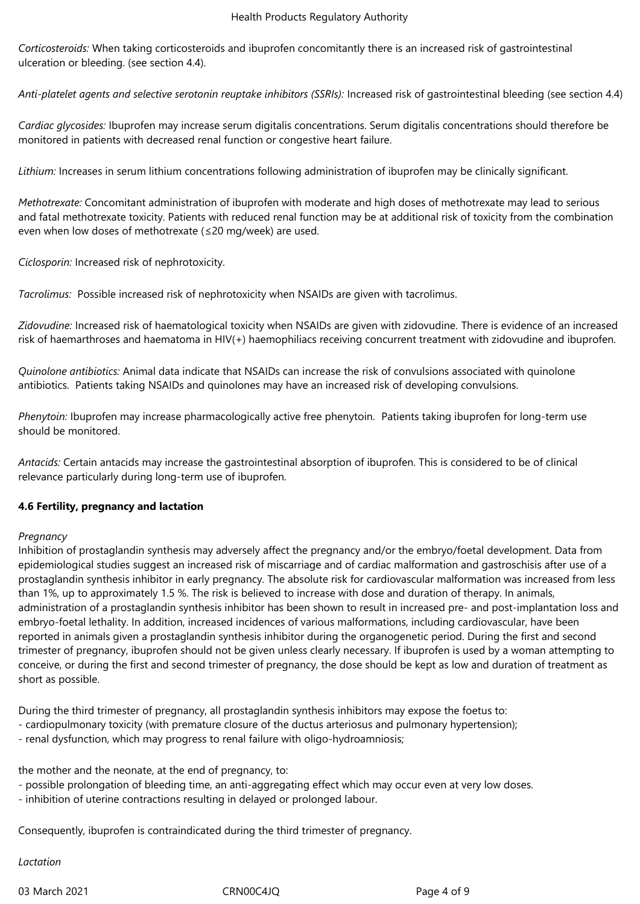*Corticosteroids:* When taking corticosteroids and ibuprofen concomitantly there is an increased risk of gastrointestinal ulceration or bleeding. (see section 4.4).

*Anti-platelet agents and selective serotonin reuptake inhibitors (SSRIs):* Increased risk of gastrointestinal bleeding (see section 4.4)

*Cardiac glycosides:* Ibuprofen may increase serum digitalis concentrations. Serum digitalis concentrations should therefore be monitored in patients with decreased renal function or congestive heart failure.

*Lithium:* Increases in serum lithium concentrations following administration of ibuprofen may be clinically significant.

*Methotrexate:* Concomitant administration of ibuprofen with moderate and high doses of methotrexate may lead to serious and fatal methotrexate toxicity. Patients with reduced renal function may be at additional risk of toxicity from the combination even when low doses of methotrexate (≤20 mg/week) are used.

*Ciclosporin:* Increased risk of nephrotoxicity.

Tacrolimus: Possible increased risk of nephrotoxicity when NSAIDs are given with tacrolimus.

*Zidovudine:* Increased risk of haematological toxicity when NSAIDs are given with zidovudine. There is evidence of an increased risk of haemarthroses and haematoma in HIV(+) haemophiliacs receiving concurrent treatment with zidovudine and ibuprofen.

*Quinolone antibiotics:* Animal data indicate that NSAIDs can increase the risk of convulsions associated with quinolone antibiotics. Patients taking NSAIDs and quinolones may have an increased risk of developing convulsions.

*Phenytoin: Ibuprofen may increase pharmacologically active free phenytoin. Patients taking ibuprofen for long-term use* should be monitored.

*Antacids:* Certain antacids may increase the gastrointestinal absorption of ibuprofen. This is considered to be of clinical relevance particularly during long-term use of ibuprofen.

## **4.6 Fertility, pregnancy and lactation**

#### *Pregnancy*

Inhibition of prostaglandin synthesis may adversely affect the pregnancy and/or the embryo/foetal development. Data from epidemiological studies suggest an increased risk of miscarriage and of cardiac malformation and gastroschisis after use of a prostaglandin synthesis inhibitor in early pregnancy. The absolute risk for cardiovascular malformation was increased from less than 1%, up to approximately 1.5 %. The risk is believed to increase with dose and duration of therapy. In animals, administration of a prostaglandin synthesis inhibitor has been shown to result in increased pre- and post-implantation loss and embryo-foetal lethality. In addition, increased incidences of various malformations, including cardiovascular, have been reported in animals given a prostaglandin synthesis inhibitor during the organogenetic period. During the first and second trimester of pregnancy, ibuprofen should not be given unless clearly necessary. If ibuprofen is used by a woman attempting to conceive, or during the first and second trimester of pregnancy, the dose should be kept as low and duration of treatment as short as possible.

During the third trimester of pregnancy, all prostaglandin synthesis inhibitors may expose the foetus to:

- cardiopulmonary toxicity (with premature closure of the ductus arteriosus and pulmonary hypertension);
- renal dysfunction, which may progress to renal failure with oligo-hydroamniosis;

the mother and the neonate, at the end of pregnancy, to:

- possible prolongation of bleeding time, an anti-aggregating effect which may occur even at very low doses.
- inhibition of uterine contractions resulting in delayed or prolonged labour.

Consequently, ibuprofen is contraindicated during the third trimester of pregnancy.

*Lactation*

03 March 2021 CRN00C4JQ Page 4 of 9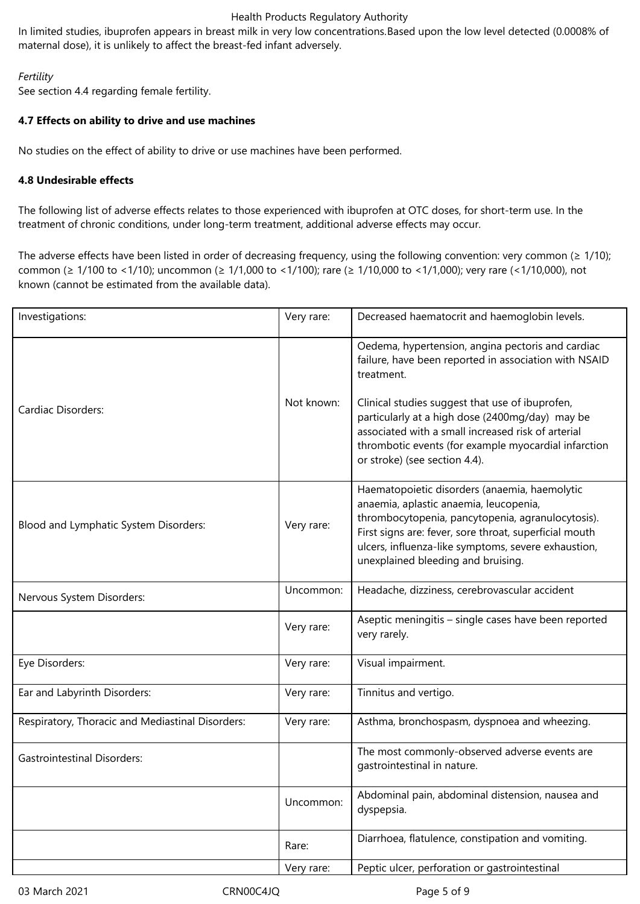In limited studies, ibuprofen appears in breast milk in very low concentrations.Based upon the low level detected (0.0008% of maternal dose), it is unlikely to affect the breast-fed infant adversely.

## *Fertility*

See section 4.4 regarding female fertility.

## **4.7 Effects on ability to drive and use machines**

No studies on the effect of ability to drive or use machines have been performed.

## **4.8 Undesirable effects**

The following list of adverse effects relates to those experienced with ibuprofen at OTC doses, for short-term use. In the treatment of chronic conditions, under long-term treatment, additional adverse effects may occur.

The adverse effects have been listed in order of decreasing frequency, using the following convention: very common ( $\geq 1/10$ ); common (≥ 1/100 to <1/10); uncommon (≥ 1/1,000 to <1/100); rare (≥ 1/10,000 to <1/1,000); very rare (<1/10,000), not known (cannot be estimated from the available data).

| Investigations:                                  | Very rare: | Decreased haematocrit and haemoglobin levels.                                                                                                                                                                                                                                                                                                                                 |
|--------------------------------------------------|------------|-------------------------------------------------------------------------------------------------------------------------------------------------------------------------------------------------------------------------------------------------------------------------------------------------------------------------------------------------------------------------------|
| <b>Cardiac Disorders:</b>                        | Not known: | Oedema, hypertension, angina pectoris and cardiac<br>failure, have been reported in association with NSAID<br>treatment.<br>Clinical studies suggest that use of ibuprofen,<br>particularly at a high dose (2400mg/day) may be<br>associated with a small increased risk of arterial<br>thrombotic events (for example myocardial infarction<br>or stroke) (see section 4.4). |
| Blood and Lymphatic System Disorders:            | Very rare: | Haematopoietic disorders (anaemia, haemolytic<br>anaemia, aplastic anaemia, leucopenia,<br>thrombocytopenia, pancytopenia, agranulocytosis).<br>First signs are: fever, sore throat, superficial mouth<br>ulcers, influenza-like symptoms, severe exhaustion,<br>unexplained bleeding and bruising.                                                                           |
| Nervous System Disorders:                        | Uncommon:  | Headache, dizziness, cerebrovascular accident                                                                                                                                                                                                                                                                                                                                 |
|                                                  | Very rare: | Aseptic meningitis - single cases have been reported<br>very rarely.                                                                                                                                                                                                                                                                                                          |
| Eye Disorders:                                   | Very rare: | Visual impairment.                                                                                                                                                                                                                                                                                                                                                            |
| Ear and Labyrinth Disorders:                     | Very rare: | Tinnitus and vertigo.                                                                                                                                                                                                                                                                                                                                                         |
| Respiratory, Thoracic and Mediastinal Disorders: | Very rare: | Asthma, bronchospasm, dyspnoea and wheezing.                                                                                                                                                                                                                                                                                                                                  |
| <b>Gastrointestinal Disorders:</b>               |            | The most commonly-observed adverse events are<br>gastrointestinal in nature.                                                                                                                                                                                                                                                                                                  |
|                                                  | Uncommon:  | Abdominal pain, abdominal distension, nausea and<br>dyspepsia.                                                                                                                                                                                                                                                                                                                |
|                                                  | Rare:      | Diarrhoea, flatulence, constipation and vomiting.                                                                                                                                                                                                                                                                                                                             |
|                                                  | Very rare: | Peptic ulcer, perforation or gastrointestinal                                                                                                                                                                                                                                                                                                                                 |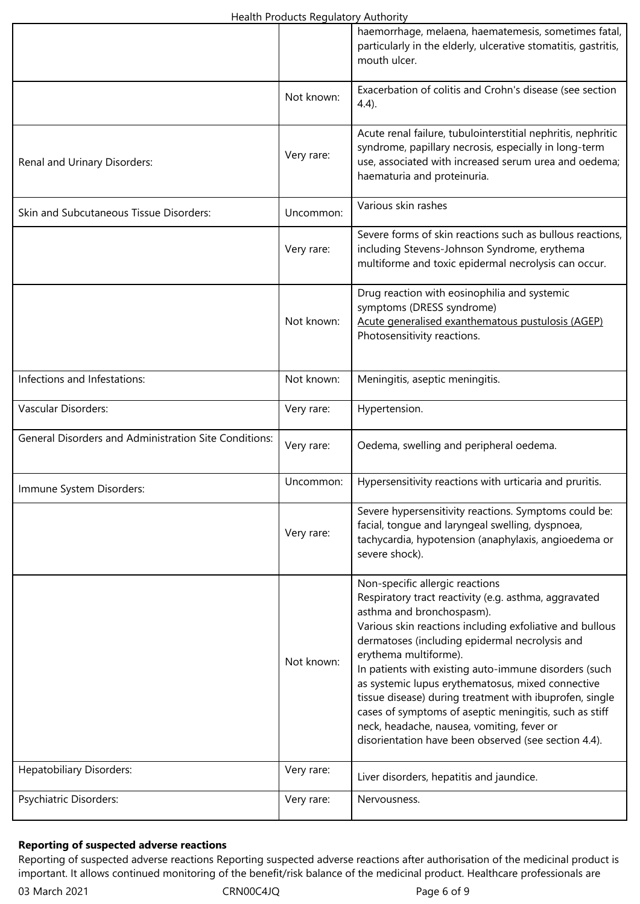|                                                       |            | haemorrhage, melaena, haematemesis, sometimes fatal,<br>particularly in the elderly, ulcerative stomatitis, gastritis,<br>mouth ulcer.                                                                                                                                                                                                                                                                                                                                                                                                                                                                |
|-------------------------------------------------------|------------|-------------------------------------------------------------------------------------------------------------------------------------------------------------------------------------------------------------------------------------------------------------------------------------------------------------------------------------------------------------------------------------------------------------------------------------------------------------------------------------------------------------------------------------------------------------------------------------------------------|
|                                                       | Not known: | Exacerbation of colitis and Crohn's disease (see section<br>$4.4$ ).                                                                                                                                                                                                                                                                                                                                                                                                                                                                                                                                  |
| Renal and Urinary Disorders:                          | Very rare: | Acute renal failure, tubulointerstitial nephritis, nephritic<br>syndrome, papillary necrosis, especially in long-term<br>use, associated with increased serum urea and oedema;<br>haematuria and proteinuria.                                                                                                                                                                                                                                                                                                                                                                                         |
| Skin and Subcutaneous Tissue Disorders:               | Uncommon:  | Various skin rashes                                                                                                                                                                                                                                                                                                                                                                                                                                                                                                                                                                                   |
|                                                       | Very rare: | Severe forms of skin reactions such as bullous reactions,<br>including Stevens-Johnson Syndrome, erythema<br>multiforme and toxic epidermal necrolysis can occur.                                                                                                                                                                                                                                                                                                                                                                                                                                     |
|                                                       | Not known: | Drug reaction with eosinophilia and systemic<br>symptoms (DRESS syndrome)<br>Acute generalised exanthematous pustulosis (AGEP)<br>Photosensitivity reactions.                                                                                                                                                                                                                                                                                                                                                                                                                                         |
| Infections and Infestations:                          | Not known: | Meningitis, aseptic meningitis.                                                                                                                                                                                                                                                                                                                                                                                                                                                                                                                                                                       |
| Vascular Disorders:                                   | Very rare: | Hypertension.                                                                                                                                                                                                                                                                                                                                                                                                                                                                                                                                                                                         |
| General Disorders and Administration Site Conditions: | Very rare: | Oedema, swelling and peripheral oedema.                                                                                                                                                                                                                                                                                                                                                                                                                                                                                                                                                               |
| Immune System Disorders:                              | Uncommon:  | Hypersensitivity reactions with urticaria and pruritis.                                                                                                                                                                                                                                                                                                                                                                                                                                                                                                                                               |
|                                                       | Very rare: | Severe hypersensitivity reactions. Symptoms could be:<br>facial, tongue and laryngeal swelling, dyspnoea,<br>tachycardia, hypotension (anaphylaxis, angioedema or<br>severe shock).                                                                                                                                                                                                                                                                                                                                                                                                                   |
|                                                       | Not known: | Non-specific allergic reactions<br>Respiratory tract reactivity (e.g. asthma, aggravated<br>asthma and bronchospasm).<br>Various skin reactions including exfoliative and bullous<br>dermatoses (including epidermal necrolysis and<br>erythema multiforme).<br>In patients with existing auto-immune disorders (such<br>as systemic lupus erythematosus, mixed connective<br>tissue disease) during treatment with ibuprofen, single<br>cases of symptoms of aseptic meningitis, such as stiff<br>neck, headache, nausea, vomiting, fever or<br>disorientation have been observed (see section 4.4). |
| <b>Hepatobiliary Disorders:</b>                       | Very rare: | Liver disorders, hepatitis and jaundice.                                                                                                                                                                                                                                                                                                                                                                                                                                                                                                                                                              |
| Psychiatric Disorders:                                | Very rare: | Nervousness.                                                                                                                                                                                                                                                                                                                                                                                                                                                                                                                                                                                          |

# **Reporting of suspected adverse reactions**

Reporting of suspected adverse reactions Reporting suspected adverse reactions after authorisation of the medicinal product is important. It allows continued monitoring of the benefit/risk balance of the medicinal product. Healthcare professionals are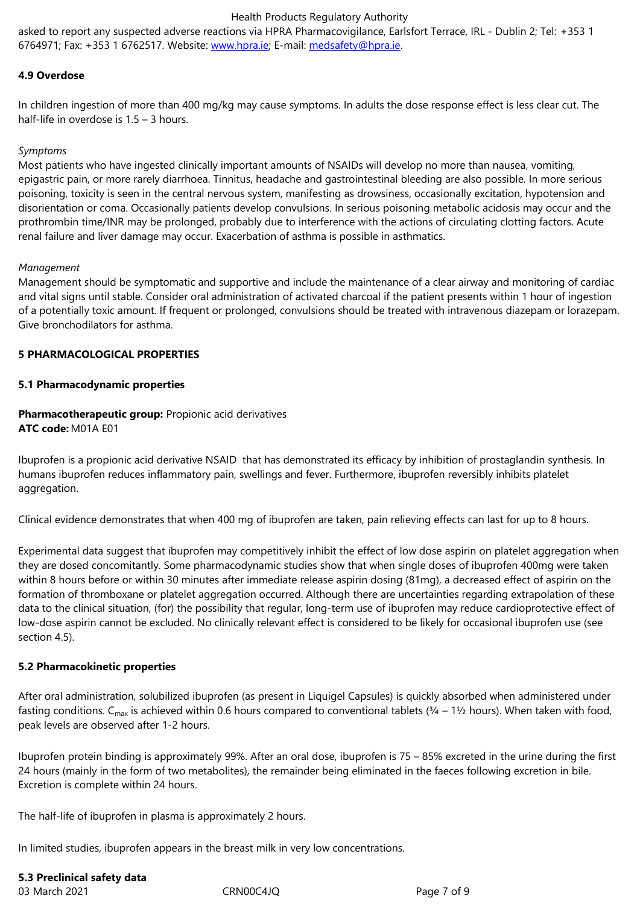#### **4.9 Overdose**

In children ingestion of more than 400 [mg/kg may ca](http://www.hpra.ie/)use sym[ptoms. In adults the](mailto:medsafety@hpra.ie) dose response effect is less clear cut. The half-life in overdose is 1.5 – 3 hours.

#### *Symptoms*

Most patients who have ingested clinically important amounts of NSAIDs will develop no more than nausea, vomiting, epigastric pain, or more rarely diarrhoea. Tinnitus, headache and gastrointestinal bleeding are also possible. In more serious poisoning, toxicity is seen in the central nervous system, manifesting as drowsiness, occasionally excitation, hypotension and disorientation or coma. Occasionally patients develop convulsions. In serious poisoning metabolic acidosis may occur and the prothrombin time/INR may be prolonged, probably due to interference with the actions of circulating clotting factors. Acute renal failure and liver damage may occur. Exacerbation of asthma is possible in asthmatics.

#### *Management*

Management should be symptomatic and supportive and include the maintenance of a clear airway and monitoring of cardiac and vital signs until stable. Consider oral administration of activated charcoal if the patient presents within 1 hour of ingestion of a potentially toxic amount. If frequent or prolonged, convulsions should be treated with intravenous diazepam or lorazepam. Give bronchodilators for asthma.

#### **5 PHARMACOLOGICAL PROPERTIES**

#### **5.1 Pharmacodynamic properties**

#### **Pharmacotherapeutic group:** Propionic acid derivatives **ATC code:** M01A E01

Ibuprofen is a propionic acid derivative NSAID that has demonstrated its efficacy by inhibition of prostaglandin synthesis. In humans ibuprofen reduces inflammatory pain, swellings and fever. Furthermore, ibuprofen reversibly inhibits platelet aggregation.

Clinical evidence demonstrates that when 400 mg of ibuprofen are taken, pain relieving effects can last for up to 8 hours.

Experimental data suggest that ibuprofen may competitively inhibit the effect of low dose aspirin on platelet aggregation when they are dosed concomitantly. Some pharmacodynamic studies show that when single doses of ibuprofen 400mg were taken within 8 hours before or within 30 minutes after immediate release aspirin dosing (81mg), a decreased effect of aspirin on the formation of thromboxane or platelet aggregation occurred. Although there are uncertainties regarding extrapolation of these data to the clinical situation, (for) the possibility that regular, long-term use of ibuprofen may reduce cardioprotective effect of low-dose aspirin cannot be excluded. No clinically relevant effect is considered to be likely for occasional ibuprofen use (see section 4.5).

#### **5.2 Pharmacokinetic properties**

After oral administration, solubilized ibuprofen (as present in Liquigel Capsules) is quickly absorbed when administered under fasting conditions. C<sub>max</sub> is achieved within 0.6 hours compared to conventional tablets ( $\frac{3}{4}$  – 1½ hours). When taken with food, peak levels are observed after 1-2 hours.

Ibuprofen protein binding is approximately 99%. After an oral dose, ibuprofen is 75 – 85% excreted in the urine during the first 24 hours (mainly in the form of two metabolites), the remainder being eliminated in the faeces following excretion in bile. Excretion is complete within 24 hours.

The half-life of ibuprofen in plasma is approximately 2 hours.

In limited studies, ibuprofen appears in the breast milk in very low concentrations.

## **5.3 Preclinical safety data**

03 March 2021 **CRN00C4JQ** Page 7 of 9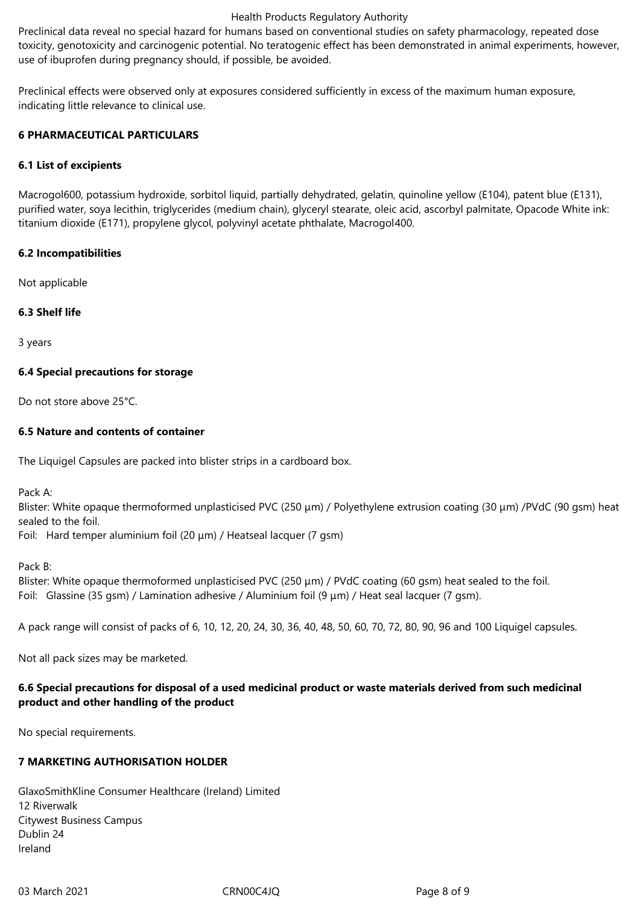Preclinical data reveal no special hazard for humans based on conventional studies on safety pharmacology, repeated dose toxicity, genotoxicity and carcinogenic potential. No teratogenic effect has been demonstrated in animal experiments, however, use of ibuprofen during pregnancy should, if possible, be avoided.

Preclinical effects were observed only at exposures considered sufficiently in excess of the maximum human exposure, indicating little relevance to clinical use.

#### **6 PHARMACEUTICAL PARTICULARS**

### **6.1 List of excipients**

Macrogol600, potassium hydroxide, sorbitol liquid, partially dehydrated, gelatin, quinoline yellow (E104), patent blue (E131), purified water, soya lecithin, triglycerides (medium chain), glyceryl stearate, oleic acid, ascorbyl palmitate, Opacode White ink: titanium dioxide (E171), propylene glycol, polyvinyl acetate phthalate, Macrogol400.

### **6.2 Incompatibilities**

Not applicable

### **6.3 Shelf life**

3 years

### **6.4 Special precautions for storage**

Do not store above 25°C.

### **6.5 Nature and contents of container**

The Liquigel Capsules are packed into blister strips in a cardboard box.

Pack A:

Blister: White opaque thermoformed unplasticised PVC (250 μm) / Polyethylene extrusion coating (30 μm) /PVdC (90 gsm) heat sealed to the foil.

Foil: Hard temper aluminium foil (20 μm) / Heatseal lacquer (7 gsm)

Pack B:

Blister: White opaque thermoformed unplasticised PVC (250 μm) / PVdC coating (60 gsm) heat sealed to the foil. Foil: Glassine (35 gsm) / Lamination adhesive / Aluminium foil (9 μm) / Heat seal lacquer (7 gsm).

A pack range will consist of packs of 6, 10, 12, 20, 24, 30, 36, 40, 48, 50, 60, 70, 72, 80, 90, 96 and 100 Liquigel capsules.

Not all pack sizes may be marketed.

## **6.6 Special precautions for disposal of a used medicinal product or waste materials derived from such medicinal product and other handling of the product**

No special requirements.

## **7 MARKETING AUTHORISATION HOLDER**

GlaxoSmithKline Consumer Healthcare (Ireland) Limited 12 Riverwalk Citywest Business Campus Dublin 24 Ireland